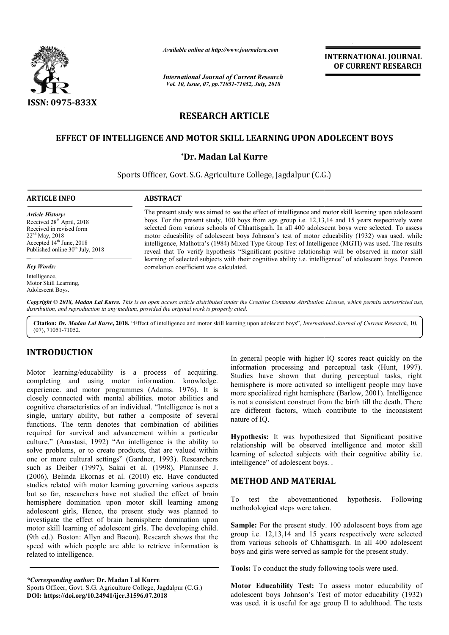

*Available online at http://www.journalcra.com*

*International Journal of Current Research Vol. 10, Issue, 07, pp.71051-71052, July, 2018*

**INTERNATIONAL JOURNAL OF CURRENT RESEARCH**

# **RESEARCH ARTICLE**

## **EFFECT OF INTELLIGENCE AND MOTOR SKILL LEARNING UPON ADOLECENT BOYS LEARNING UPON**

### **\*Dr. Madan Lal Kurre**

Sports Officer Officer, Govt. S.G. Agriculture College, Jagdalpur (C.G.) Jagdalpur (C.G.)

#### **ARTICLE INFO ABSTRACT**

*Article History:* Received 28<sup>th</sup> April, 2018 Received in revised form 22nd May, 2018 Accepted 14<sup>th</sup> June, 2018 Published online 30<sup>th</sup> July, 2018

#### *Key Words:*

Intelligence, Motor Skill Learning, Adolescent Boys.

The present study was aimed to see the effect of intelligence and motor skill learning upon adolescent boys. For the present study, 100 boys from age group i.e. 12,13,14 and 15 years respectively were The present study was aimed to see the effect of intelligence and motor skill learning upon adolescent boys. For the present study, 100 boys from age group i.e. 12,13,14 and 15 years respectively were selected from various motor educability of adolescent boys Johnson's test of motor educability (1932) was used. while intelligence, Malhotra's (1984) Mixed Type Group Test of Intelligence (MGTI) was used. The results reveal that To verify hypothesis "Significant positive relationship will be observed in motor skill learning of selected subjects with their cognitive ability i.e. intelligence" of adolescent boys. Pearson correlation coefficient was calculated. intelligence, Malhotra's (1984) Mixed Type Group Test of Intelligence (MGTI) was used. The results<br>reveal that To verify hypothesis "Significant positive relationship will be observed in motor skill<br>learning of selected su

Copyright © 2018, Madan Lal Kurre. This is an open access article distributed under the Creative Commons Attribution License, which permits unrestricted use, *distribution, and reproduction in any medium, provided the original work is properly cited.*

Citation: Dr. Madan Lal Kurre, 2018. "Effect of intelligence and motor skill learning upon adolecent boys", International Journal of Current Research, 10, (07), 71051-71052.

# **INTRODUCTION**

Motor learning/educability is a process of acquiring. completing and using motor information. knowledge. experience. and motor programmes (Adams. 1976). It is closely connected with mental abilities. motor abilities and cognitive characteristics of an individual. "Intelligence is not a single, unitary ability, but rather a composite of several functions. The term denotes that combination of abilities required for survival and advancement within a particular culture." (Anastasi, 1992) "An intelligence is the ability to solve problems, or to create products, that are valued within one or more cultural settings" (Gardner, 1993). Researchers such as Deiber (1997), Sakai et al. (1998), Planinsec J. (2006), Belinda Ekornas et al. (2010) etc. Have conducted studies related with motor learning governing various aspects but so far, researchers have not studied the effect of brain hemisphere domination upon motor skill learning among adolescent girls, Hence, the present study was planned to investigate the effect of brain hemisphere domination upon motor skill learning of adolescent girls. The developing child. (9th ed.). Boston: Allyn and Bacon). Research shows that the speed with which people are able to retrieve information is related to intelligence. **Example 10** In general people with higher IQ scores react quickly on the<br>
formation. knowledge. Studies have shown that during perceptual tasks, right<br>
(Adams. 1976). It is membersher is more activated so intelligence is

In general people with higher IQ scores react quickly on the information processing and perceptual task (Hunt, 1997). Studies have shown that during perceptual tasks, right hemisphere is more activated so intelligent people may have more specialized right hemisphere (Barlow, 2001). Intelligence is not a consistent construct from the birth till the death. There are different factors, which contribute to the inconsistent nature of IQ. hemisphere is more activated so intelligent people may have<br>more specialized right hemisphere (Barlow, 2001). Intelligence<br>is not a consistent construct from the birth till the death. There<br>are different factors, which con is useful for age

**Hypothesis:** It was hypothesized that Significant positive relationship will be observed intelligence and motor skill learning of selected subjects with their cognitive ability i.e. intelligence" of adolescent boys. . **Thesis:** It was hypothesized that Significant positive inship will be observed intelligence and motor sking of selected subjects with their cognitive ability i.e.<br>gence" of adolescent boys. .<br>**HOD AND MATERIAL**<br>test the a

### **METHOD AND MATERIAL**

To test the abovementioned hypothesis. Following methodological steps were taken.

**Sample:** For the present study. 100 adolescent boys from age group i.e. 12,13,14 and 15 years respectively were selected from various schools of Chhattisgarh. In all 400 adolescent boys and girls were served as sample for the present study. he present study. 100 adolescent boys from age 13,14 and 15 years respectively were selected schools of Chhattisgarh. In all 400 adolescent were served as sample for the present study.<br>duct the study following tools were u

**Tools:** To conduct the study following tools were used.

**Motor Educability Test:** To assess motor educability of adolescent boys Johnson's Test of motor was used. it is useful for age group II to adulthood. The tests

*<sup>\*</sup>Corresponding author:* **Dr. Madan Lal Kurre**

Sports Officer, Govt. S.G. Agriculture College, Jagdalpur (C.G.) **DOI: https://doi.org/10.24941/ijcr.31596.07.2018**